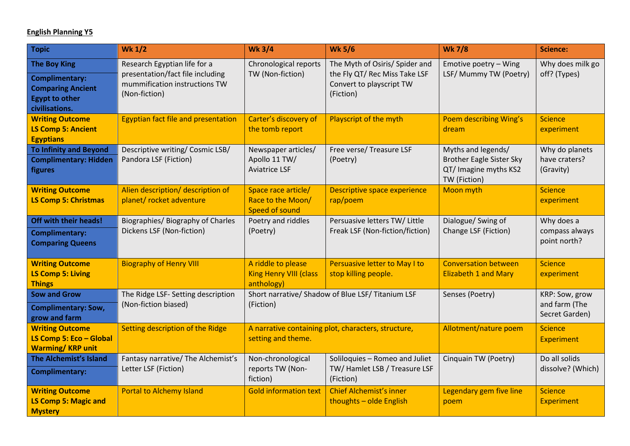## **English Planning Y5**

| Topic                                                                                                               | <b>Wk 1/2</b>                                                                                                      | <b>Wk 3/4</b>                                                             | <b>Wk 5/6</b>                                                                                            | <b>Wk 7/8</b>                                                                                  | <b>Science:</b>                                   |
|---------------------------------------------------------------------------------------------------------------------|--------------------------------------------------------------------------------------------------------------------|---------------------------------------------------------------------------|----------------------------------------------------------------------------------------------------------|------------------------------------------------------------------------------------------------|---------------------------------------------------|
| <b>The Boy King</b><br><b>Complimentary:</b><br><b>Comparing Ancient</b><br><b>Egypt to other</b><br>civilisations. | Research Egyptian life for a<br>presentation/fact file including<br>mummification instructions TW<br>(Non-fiction) | Chronological reports<br>TW (Non-fiction)                                 | The Myth of Osiris/ Spider and<br>the Fly QT/ Rec Miss Take LSF<br>Convert to playscript TW<br>(Fiction) | Emotive poetry - Wing<br>LSF/ Mummy TW (Poetry)                                                | Why does milk go<br>off? (Types)                  |
| <b>Writing Outcome</b><br><b>LS Comp 5: Ancient</b><br><b>Egyptians</b>                                             | <b>Egyptian fact file and presentation</b>                                                                         | Carter's discovery of<br>the tomb report                                  | Playscript of the myth                                                                                   | Poem describing Wing's<br>dream                                                                | <b>Science</b><br>experiment                      |
| <b>To Infinity and Beyond</b><br><b>Complimentary: Hidden</b><br>figures                                            | Descriptive writing/ Cosmic LSB/<br>Pandora LSF (Fiction)                                                          | Newspaper articles/<br>Apollo 11 TW/<br><b>Aviatrice LSF</b>              | Free verse/ Treasure LSF<br>(Poetry)                                                                     | Myths and legends/<br><b>Brother Eagle Sister Sky</b><br>QT/ Imagine myths KS2<br>TW (Fiction) | Why do planets<br>have craters?<br>(Gravity)      |
| <b>Writing Outcome</b><br><b>LS Comp 5: Christmas</b>                                                               | Alien description/ description of<br>planet/ rocket adventure                                                      | Space race article/<br>Race to the Moon/<br>Speed of sound                | Descriptive space experience<br>rap/poem                                                                 | Moon myth                                                                                      | <b>Science</b><br>experiment                      |
| Off with their heads!<br>Complimentary:<br><b>Comparing Queens</b>                                                  | Biographies/ Biography of Charles<br>Dickens LSF (Non-fiction)                                                     | Poetry and riddles<br>(Poetry)                                            | Persuasive letters TW/ Little<br>Freak LSF (Non-fiction/fiction)                                         | Dialogue/ Swing of<br>Change LSF (Fiction)                                                     | Why does a<br>compass always<br>point north?      |
| <b>Writing Outcome</b><br><b>LS Comp 5: Living</b><br><b>Things</b>                                                 | <b>Biography of Henry VIII</b>                                                                                     | A riddle to please<br><b>King Henry VIII (class</b><br>anthology)         | Persuasive letter to May I to<br>stop killing people.                                                    | <b>Conversation between</b><br><b>Elizabeth 1 and Mary</b>                                     | <b>Science</b><br>experiment                      |
| <b>Sow and Grow</b><br><b>Complimentary: Sow,</b><br>grow and farm                                                  | The Ridge LSF- Setting description<br>(Non-fiction biased)                                                         | Short narrative/ Shadow of Blue LSF/ Titanium LSF<br>(Fiction)            |                                                                                                          | Senses (Poetry)                                                                                | KRP: Sow, grow<br>and farm (The<br>Secret Garden) |
| <b>Writing Outcome</b><br>LS Comp 5: Eco - Global<br><b>Warming/KRP unit</b>                                        | Setting description of the Ridge                                                                                   | A narrative containing plot, characters, structure,<br>setting and theme. |                                                                                                          | Allotment/nature poem                                                                          | <b>Science</b><br><b>Experiment</b>               |
| The Alchemist's Island<br><b>Complimentary:</b>                                                                     | Fantasy narrative/ The Alchemist's<br>Letter LSF (Fiction)                                                         | Non-chronological<br>reports TW (Non-<br>fiction)                         | Soliloquies - Romeo and Juliet<br>TW/Hamlet LSB / Treasure LSF<br>(Fiction)                              | Cinquain TW (Poetry)                                                                           | Do all solids<br>dissolve? (Which)                |
| <b>Writing Outcome</b><br><b>LS Comp 5: Magic and</b><br><b>Mystery</b>                                             | <b>Portal to Alchemy Island</b>                                                                                    | <b>Gold information text</b>                                              | <b>Chief Alchemist's inner</b><br>thoughts - olde English                                                | Legendary gem five line<br>poem                                                                | <b>Science</b><br><b>Experiment</b>               |